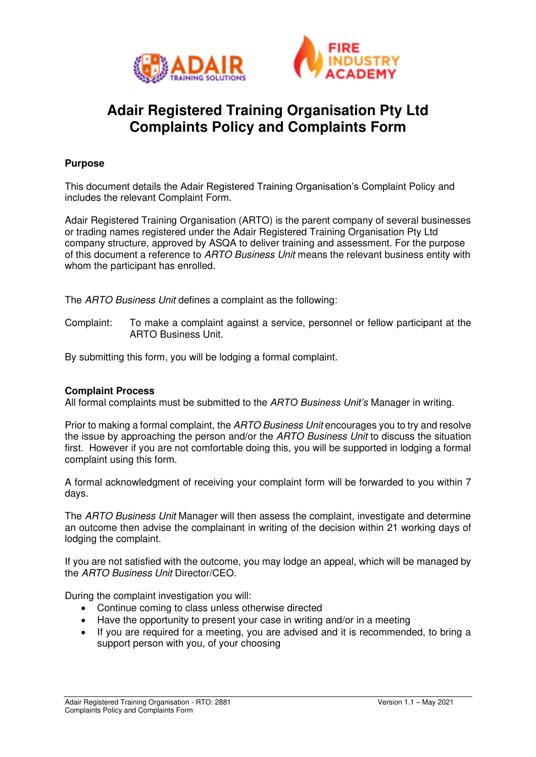



# **Adair Registered Training Organisation Pty Ltd Complaints Policy and Complaints Form**

### **Purpose**

This document details the Adair Registered Training Organisation's Complaint Policy and includes the relevant Complaint Form.

Adair Registered Training Organisation (ARTO) is the parent company of several businesses or trading names registered under the Adair Registered Training Organisation Pty Ltd company structure, approved by ASQA to deliver training and assessment. For the purpose of this document a reference to ARTO Business Unit means the relevant business entity with whom the participant has enrolled.

The ARTO Business Unit defines a complaint as the following:

Complaint: To make a complaint against a service, personnel or fellow participant at the ARTO Business Unit.

By submitting this form, you will be lodging a formal complaint.

#### **Complaint Process**

All formal complaints must be submitted to the *ARTO Business Unit's* Manager in writing.

Prior to making a formal complaint, the ARTO Business Unit encourages you to try and resolve the issue by approaching the person and/or the ARTO Business Unit to discuss the situation first. However if you are not comfortable doing this, you will be supported in lodging a formal complaint using this form.

A formal acknowledgment of receiving your complaint form will be forwarded to you within 7 days.

The ARTO Business Unit Manager will then assess the complaint, investigate and determine an outcome then advise the complainant in writing of the decision within 21 working days of lodging the complaint.

If you are not satisfied with the outcome, you may lodge an appeal, which will be managed by the ARTO Business Unit Director/CEO.

During the complaint investigation you will:

- Continue coming to class unless otherwise directed
- Have the opportunity to present your case in writing and/or in a meeting
- If you are required for a meeting, you are advised and it is recommended, to bring a support person with you, of your choosing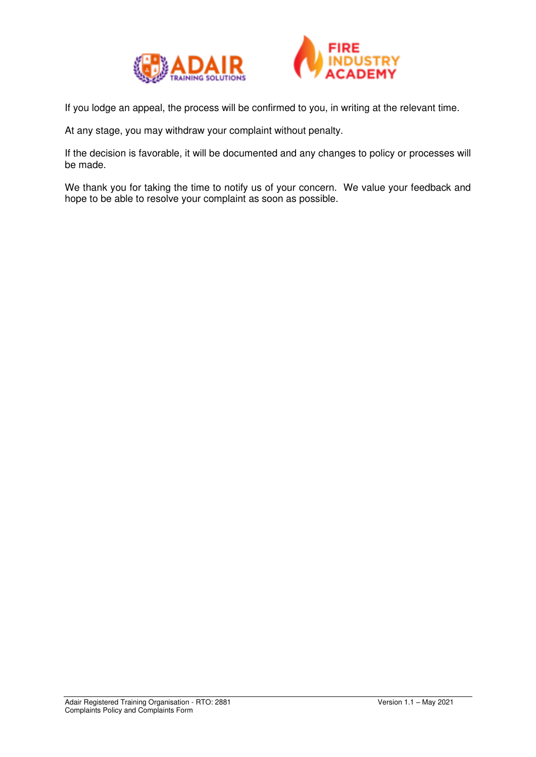



If you lodge an appeal, the process will be confirmed to you, in writing at the relevant time.

At any stage, you may withdraw your complaint without penalty.

If the decision is favorable, it will be documented and any changes to policy or processes will be made.

We thank you for taking the time to notify us of your concern. We value your feedback and hope to be able to resolve your complaint as soon as possible.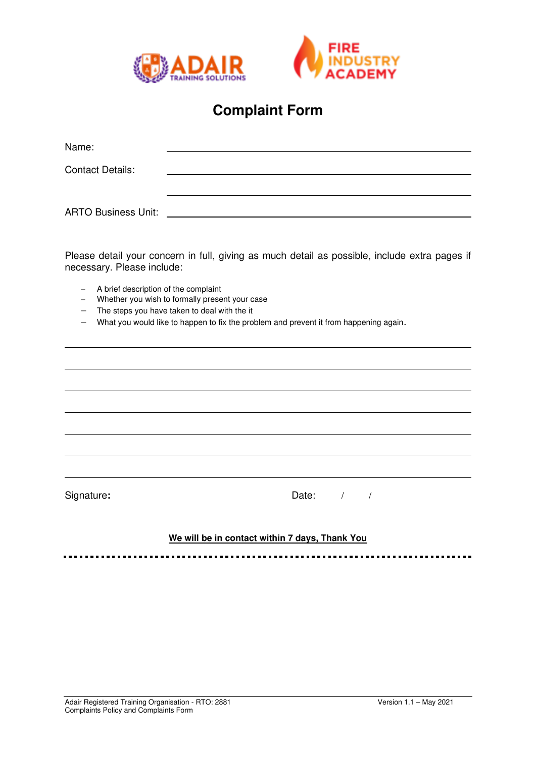



## **Complaint Form**

| Name:                      |  |
|----------------------------|--|
| <b>Contact Details:</b>    |  |
|                            |  |
| <b>ARTO Business Unit:</b> |  |

Please detail your concern in full, giving as much detail as possible, include extra pages if necessary. Please include:

- − A brief description of the complaint
- − Whether you wish to formally present your case
- − The steps you have taken to deal with the it
- − What you would like to happen to fix the problem and prevent it from happening again.

Signature: **Date:**  $\frac{1}{2}$  Date:  $\frac{1}{2}$  /

#### **We will be in contact within 7 days, Thank You**

.............................. -------